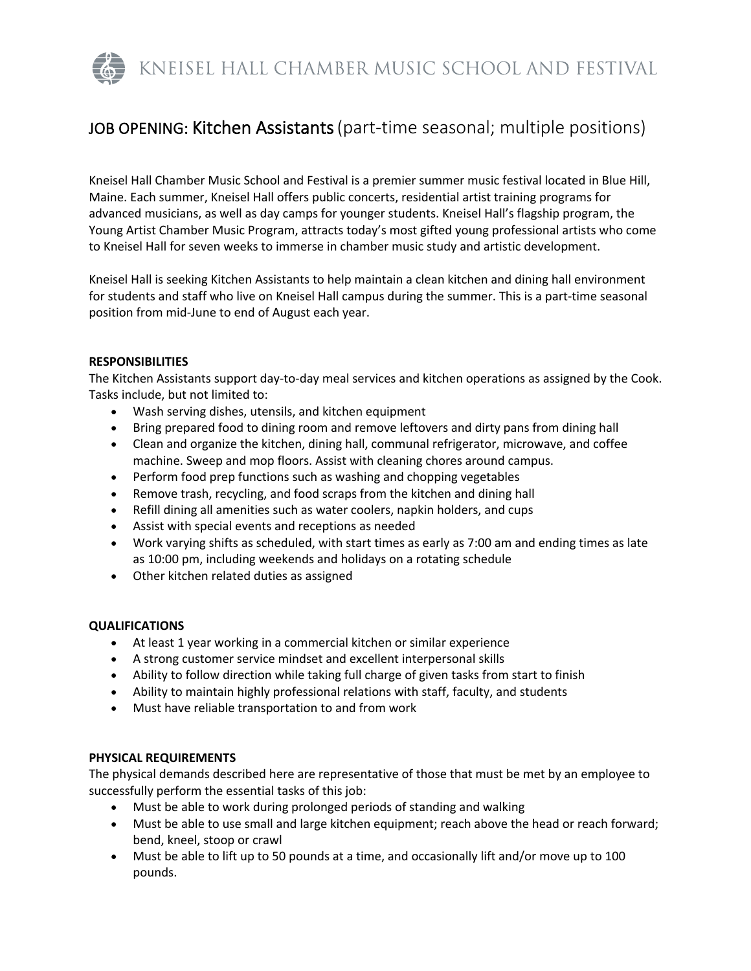KNEISEL HALL CHAMBER MUSIC SCHOOL AND FESTIVAL

# JOB OPENING: Kitchen Assistants(part-time seasonal; multiple positions)

Kneisel Hall Chamber Music School and Festival is a premier summer music festival located in Blue Hill, Maine. Each summer, Kneisel Hall offers public concerts, residential artist training programs for advanced musicians, as well as day camps for younger students. Kneisel Hall's flagship program, the Young Artist Chamber Music Program, attracts today's most gifted young professional artists who come to Kneisel Hall for seven weeks to immerse in chamber music study and artistic development.

Kneisel Hall is seeking Kitchen Assistants to help maintain a clean kitchen and dining hall environment for students and staff who live on Kneisel Hall campus during the summer. This is a part-time seasonal position from mid-June to end of August each year.

## **RESPONSIBILITIES**

The Kitchen Assistants support day-to-day meal services and kitchen operations as assigned by the Cook. Tasks include, but not limited to:

- Wash serving dishes, utensils, and kitchen equipment
- Bring prepared food to dining room and remove leftovers and dirty pans from dining hall
- Clean and organize the kitchen, dining hall, communal refrigerator, microwave, and coffee machine. Sweep and mop floors. Assist with cleaning chores around campus.
- Perform food prep functions such as washing and chopping vegetables
- Remove trash, recycling, and food scraps from the kitchen and dining hall
- Refill dining all amenities such as water coolers, napkin holders, and cups
- Assist with special events and receptions as needed
- Work varying shifts as scheduled, with start times as early as 7:00 am and ending times as late as 10:00 pm, including weekends and holidays on a rotating schedule
- Other kitchen related duties as assigned

# **QUALIFICATIONS**

- At least 1 year working in a commercial kitchen or similar experience
- A strong customer service mindset and excellent interpersonal skills
- Ability to follow direction while taking full charge of given tasks from start to finish
- Ability to maintain highly professional relations with staff, faculty, and students
- Must have reliable transportation to and from work

# **PHYSICAL REQUIREMENTS**

The physical demands described here are representative of those that must be met by an employee to successfully perform the essential tasks of this job:

- Must be able to work during prolonged periods of standing and walking
- Must be able to use small and large kitchen equipment; reach above the head or reach forward; bend, kneel, stoop or crawl
- Must be able to lift up to 50 pounds at a time, and occasionally lift and/or move up to 100 pounds.